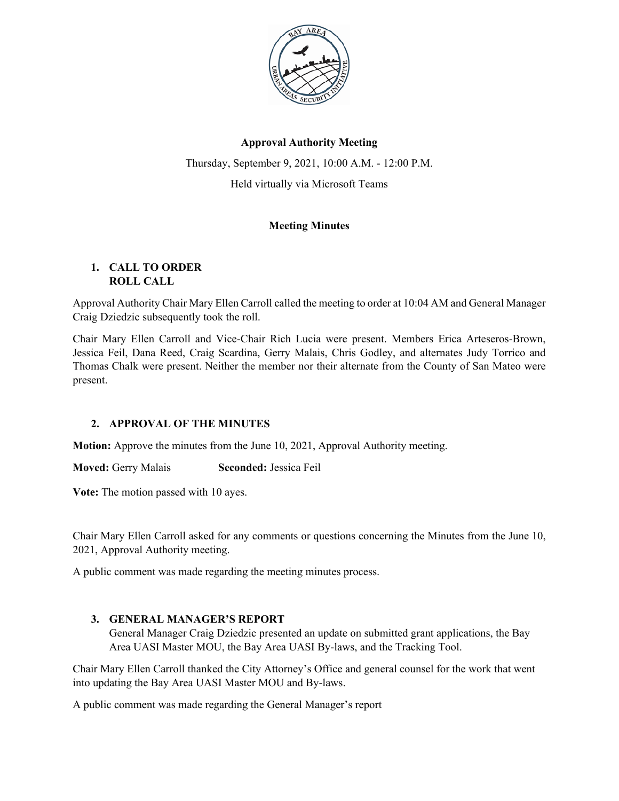

# **Approval Authority Meeting**

Thursday, September 9, 2021, 10:00 A.M. - 12:00 P.M. Held virtually via Microsoft Teams

# **Meeting Minutes**

### **1. CALL TO ORDER ROLL CALL**

Approval Authority Chair Mary Ellen Carroll called the meeting to order at 10:04 AM and General Manager Craig Dziedzic subsequently took the roll.

Chair Mary Ellen Carroll and Vice-Chair Rich Lucia were present. Members Erica Arteseros-Brown, Jessica Feil, Dana Reed, Craig Scardina, Gerry Malais, Chris Godley, and alternates Judy Torrico and Thomas Chalk were present. Neither the member nor their alternate from the County of San Mateo were present.

## **2. APPROVAL OF THE MINUTES**

**Motion:** Approve the minutes from the June 10, 2021, Approval Authority meeting.

**Moved:** Gerry Malais **Seconded:** Jessica Feil

**Vote:** The motion passed with 10 ayes.

Chair Mary Ellen Carroll asked for any comments or questions concerning the Minutes from the June 10, 2021, Approval Authority meeting.

A public comment was made regarding the meeting minutes process.

### **3. GENERAL MANAGER'S REPORT**

General Manager Craig Dziedzic presented an update on submitted grant applications, the Bay Area UASI Master MOU, the Bay Area UASI By-laws, and the Tracking Tool.

Chair Mary Ellen Carroll thanked the City Attorney's Office and general counsel for the work that went into updating the Bay Area UASI Master MOU and By-laws.

A public comment was made regarding the General Manager's report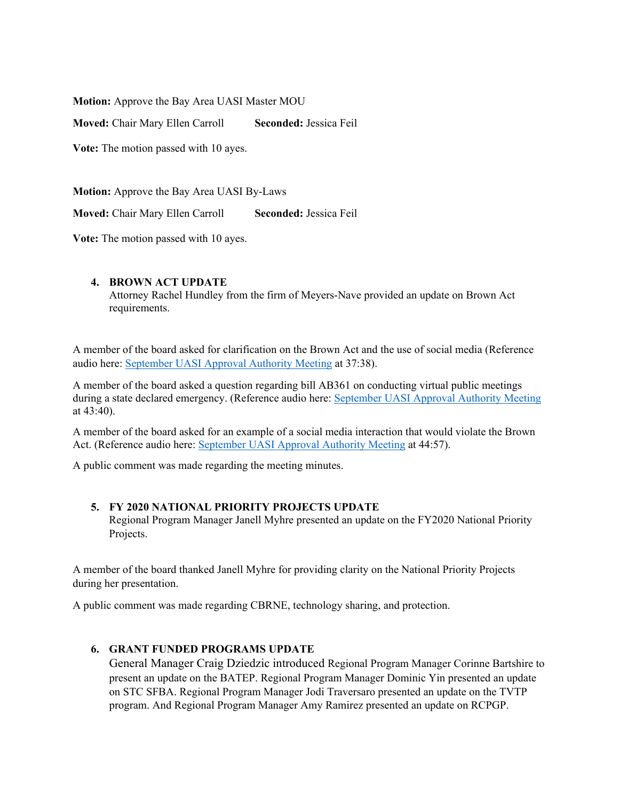**Motion:** Approve the Bay Area UASI Master MOU

**Moved:** Chair Mary Ellen Carroll **Seconded:** Jessica Feil

**Vote:** The motion passed with 10 ayes.

**Motion:** Approve the Bay Area UASI By-Laws

**Moved:** Chair Mary Ellen Carroll **Seconded:** Jessica Feil

**Vote:** The motion passed with 10 ayes.

### **4. BROWN ACT UPDATE**

Attorney Rachel Hundley from the firm of Meyers-Nave provided an update on Brown Act requirements.

A member of the board asked for clarification on the Brown Act and the use of social media (Reference audio here: [September](http://bauasi.org/sites/default/files/resources/approval_2021_september_featured_audio.mp3) [UASI Approval Authority Meeting](http://bauasi.org/sites/default/files/resources/approval_2021_september_featured_audio.mp3) at 37:38).

A member of the board asked a question regarding bill AB361 on conducting virtual public meetings during a state declared emergency. (Reference audio here: [September](http://bauasi.org/sites/default/files/resources/approval_2021_september_featured_audio.mp3) [UASI Approval Authority Meeting](http://bauasi.org/sites/default/files/resources/approval_2021_september_featured_audio.mp3) at 43:40).

A member of the board asked for an example of a social media interaction that would violate the Brown Act. (Reference audio here: [September UASI Approval Authority Meeting](http://bauasi.org/sites/default/files/resources/approval_2021_september_featured_audio.mp3) at 44:57).

A public comment was made regarding the meeting minutes.

#### **5. FY 2020 NATIONAL PRIORITY PROJECTS UPDATE**

Regional Program Manager Janell Myhre presented an update on the FY2020 National Priority Projects.

A member of the board thanked Janell Myhre for providing clarity on the National Priority Projects during her presentation.

A public comment was made regarding CBRNE, technology sharing, and protection.

### **6. GRANT FUNDED PROGRAMS UPDATE**

General Manager Craig Dziedzic introduced Regional Program Manager Corinne Bartshire to present an update on the BATEP. Regional Program Manager Dominic Yin presented an update on STC SFBA. Regional Program Manager Jodi Traversaro presented an update on the TVTP program. And Regional Program Manager Amy Ramirez presented an update on RCPGP.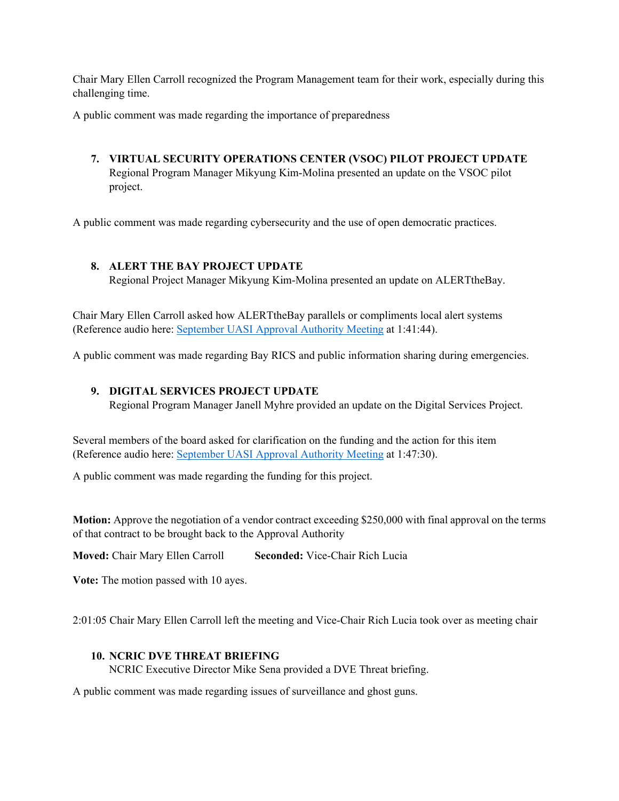Chair Mary Ellen Carroll recognized the Program Management team for their work, especially during this challenging time.

A public comment was made regarding the importance of preparedness

# **7. VIRTUAL SECURITY OPERATIONS CENTER (VSOC) PILOT PROJECT UPDATE** Regional Program Manager Mikyung Kim-Molina presented an update on the VSOC pilot project.

A public comment was made regarding cybersecurity and the use of open democratic practices.

## **8. ALERT THE BAY PROJECT UPDATE**

Regional Project Manager Mikyung Kim-Molina presented an update on ALERTtheBay.

Chair Mary Ellen Carroll asked how ALERTtheBay parallels or compliments local alert systems (Reference audio here: [September UASI Approval Authority Meeting](http://bauasi.org/sites/default/files/resources/approval_2021_september_featured_audio.mp3) at 1:41:44).

A public comment was made regarding Bay RICS and public information sharing during emergencies.

### **9. DIGITAL SERVICES PROJECT UPDATE**

Regional Program Manager Janell Myhre provided an update on the Digital Services Project.

Several members of the board asked for clarification on the funding and the action for this item (Reference audio here: [September UASI Approval Authority Meeting](http://bauasi.org/sites/default/files/resources/approval_2021_september_featured_audio.mp3) at 1:47:30).

A public comment was made regarding the funding for this project.

**Motion:** Approve the negotiation of a vendor contract exceeding \$250,000 with final approval on the terms of that contract to be brought back to the Approval Authority

**Moved:** Chair Mary Ellen Carroll **Seconded:** Vice-Chair Rich Lucia

**Vote:** The motion passed with 10 ayes.

2:01:05 Chair Mary Ellen Carroll left the meeting and Vice-Chair Rich Lucia took over as meeting chair

### **10. NCRIC DVE THREAT BRIEFING**

NCRIC Executive Director Mike Sena provided a DVE Threat briefing.

A public comment was made regarding issues of surveillance and ghost guns.